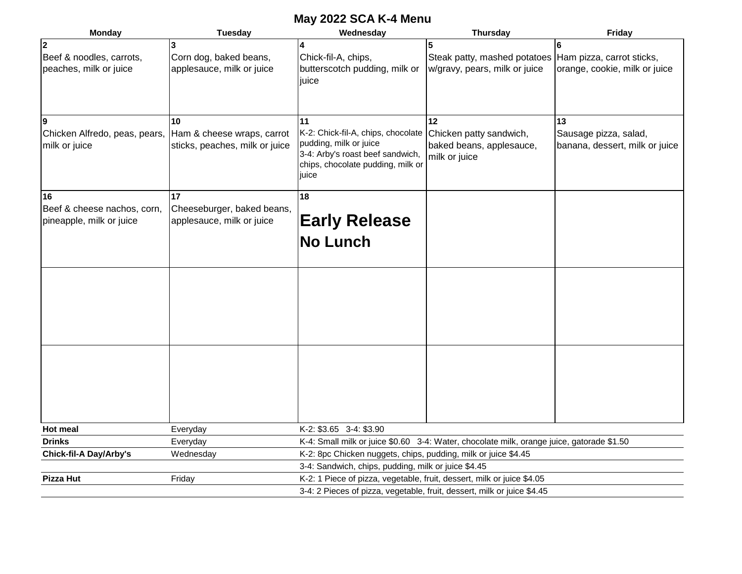## **May 2022 SCA K-4 Menu**

| <b>Monday</b>                 | <b>Tuesday</b>                 | Wednesday                                                                                 | <b>Thursday</b>                                          | Friday                         |  |  |  |  |
|-------------------------------|--------------------------------|-------------------------------------------------------------------------------------------|----------------------------------------------------------|--------------------------------|--|--|--|--|
| $\mathbf{2}$                  |                                | 14                                                                                        |                                                          | 6                              |  |  |  |  |
| Beef & noodles, carrots,      | Corn dog, baked beans,         | Chick-fil-A, chips,                                                                       | Steak patty, mashed potatoes   Ham pizza, carrot sticks, |                                |  |  |  |  |
| peaches, milk or juice        | applesauce, milk or juice      | butterscotch pudding, milk or                                                             | w/gravy, pears, milk or juice                            | orange, cookie, milk or juice  |  |  |  |  |
|                               |                                | juice                                                                                     |                                                          |                                |  |  |  |  |
|                               |                                |                                                                                           |                                                          |                                |  |  |  |  |
|                               |                                |                                                                                           |                                                          |                                |  |  |  |  |
| 9                             | 10                             | 11                                                                                        | 12                                                       | 13                             |  |  |  |  |
| Chicken Alfredo, peas, pears, | Ham & cheese wraps, carrot     | K-2: Chick-fil-A, chips, chocolate                                                        | Chicken patty sandwich,                                  | Sausage pizza, salad,          |  |  |  |  |
| milk or juice                 | sticks, peaches, milk or juice | pudding, milk or juice                                                                    | baked beans, applesauce,                                 | banana, dessert, milk or juice |  |  |  |  |
|                               |                                | 3-4: Arby's roast beef sandwich,                                                          | milk or juice                                            |                                |  |  |  |  |
|                               |                                | chips, chocolate pudding, milk or<br>juice                                                |                                                          |                                |  |  |  |  |
|                               |                                |                                                                                           |                                                          |                                |  |  |  |  |
| 16                            | 17                             | 18                                                                                        |                                                          |                                |  |  |  |  |
| Beef & cheese nachos, corn,   | Cheeseburger, baked beans,     |                                                                                           |                                                          |                                |  |  |  |  |
| pineapple, milk or juice      | applesauce, milk or juice      | <b>Early Release</b>                                                                      |                                                          |                                |  |  |  |  |
|                               |                                |                                                                                           |                                                          |                                |  |  |  |  |
|                               |                                | <b>No Lunch</b>                                                                           |                                                          |                                |  |  |  |  |
|                               |                                |                                                                                           |                                                          |                                |  |  |  |  |
|                               |                                |                                                                                           |                                                          |                                |  |  |  |  |
|                               |                                |                                                                                           |                                                          |                                |  |  |  |  |
|                               |                                |                                                                                           |                                                          |                                |  |  |  |  |
|                               |                                |                                                                                           |                                                          |                                |  |  |  |  |
|                               |                                |                                                                                           |                                                          |                                |  |  |  |  |
|                               |                                |                                                                                           |                                                          |                                |  |  |  |  |
|                               |                                |                                                                                           |                                                          |                                |  |  |  |  |
|                               |                                |                                                                                           |                                                          |                                |  |  |  |  |
|                               |                                |                                                                                           |                                                          |                                |  |  |  |  |
|                               |                                |                                                                                           |                                                          |                                |  |  |  |  |
|                               |                                |                                                                                           |                                                          |                                |  |  |  |  |
|                               |                                |                                                                                           |                                                          |                                |  |  |  |  |
| <b>Hot meal</b>               | Everyday                       | K-2: \$3.65 3-4: \$3.90                                                                   |                                                          |                                |  |  |  |  |
| <b>Drinks</b>                 | Everyday                       | K-4: Small milk or juice \$0.60 3-4: Water, chocolate milk, orange juice, gatorade \$1.50 |                                                          |                                |  |  |  |  |
| <b>Chick-fil-A Day/Arby's</b> | Wednesday                      | K-2: 8pc Chicken nuggets, chips, pudding, milk or juice \$4.45                            |                                                          |                                |  |  |  |  |
|                               |                                | 3-4: Sandwich, chips, pudding, milk or juice \$4.45                                       |                                                          |                                |  |  |  |  |
| <b>Pizza Hut</b>              | Friday                         | K-2: 1 Piece of pizza, vegetable, fruit, dessert, milk or juice \$4.05                    |                                                          |                                |  |  |  |  |
|                               |                                | 3-4: 2 Pieces of pizza, vegetable, fruit, dessert, milk or juice \$4.45                   |                                                          |                                |  |  |  |  |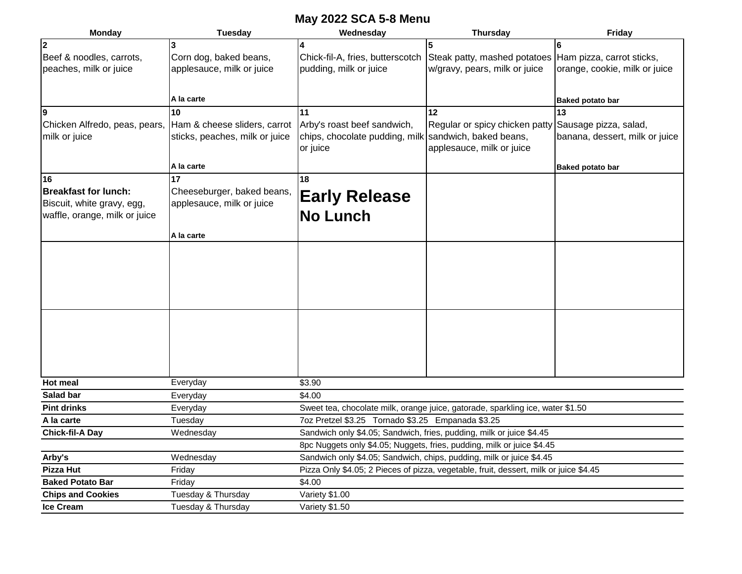## **May 2022 SCA 5-8 Menu**

| <b>Monday</b>                                | <b>Tuesday</b>                 | Wednesday                                                                             | <b>Thursday</b>                                                      | Friday                         |  |  |  |  |
|----------------------------------------------|--------------------------------|---------------------------------------------------------------------------------------|----------------------------------------------------------------------|--------------------------------|--|--|--|--|
| $\overline{2}$                               |                                | 14                                                                                    | 5                                                                    | 6                              |  |  |  |  |
| Beef & noodles, carrots,                     | Corn dog, baked beans,         | Chick-fil-A, fries, butterscotch                                                      | Steak patty, mashed potatoes Ham pizza, carrot sticks,               |                                |  |  |  |  |
| peaches, milk or juice                       | applesauce, milk or juice      | pudding, milk or juice                                                                | w/gravy, pears, milk or juice                                        | orange, cookie, milk or juice  |  |  |  |  |
|                                              |                                |                                                                                       |                                                                      |                                |  |  |  |  |
|                                              | A la carte                     |                                                                                       |                                                                      | <b>Baked potato bar</b>        |  |  |  |  |
| 9                                            | 10                             | 11                                                                                    | 12                                                                   | 13                             |  |  |  |  |
| Chicken Alfredo, peas, pears,                | Ham & cheese sliders, carrot   | Arby's roast beef sandwich,                                                           | Regular or spicy chicken patty                                       | Sausage pizza, salad,          |  |  |  |  |
| milk or juice                                | sticks, peaches, milk or juice | chips, chocolate pudding, milk sandwich, baked beans,                                 |                                                                      | banana, dessert, milk or juice |  |  |  |  |
|                                              |                                | or juice                                                                              | applesauce, milk or juice                                            |                                |  |  |  |  |
|                                              | A la carte                     |                                                                                       |                                                                      | <b>Baked potato bar</b>        |  |  |  |  |
| 16                                           | 17                             | 18                                                                                    |                                                                      |                                |  |  |  |  |
| <b>Breakfast for lunch:</b>                  | Cheeseburger, baked beans,     |                                                                                       |                                                                      |                                |  |  |  |  |
| Biscuit, white gravy, egg,                   | applesauce, milk or juice      | <b>Early Release</b>                                                                  |                                                                      |                                |  |  |  |  |
| waffle, orange, milk or juice                |                                | <b>No Lunch</b>                                                                       |                                                                      |                                |  |  |  |  |
|                                              | A la carte                     |                                                                                       |                                                                      |                                |  |  |  |  |
|                                              |                                |                                                                                       |                                                                      |                                |  |  |  |  |
|                                              |                                |                                                                                       |                                                                      |                                |  |  |  |  |
|                                              |                                |                                                                                       |                                                                      |                                |  |  |  |  |
|                                              |                                |                                                                                       |                                                                      |                                |  |  |  |  |
|                                              |                                |                                                                                       |                                                                      |                                |  |  |  |  |
|                                              |                                |                                                                                       |                                                                      |                                |  |  |  |  |
|                                              |                                |                                                                                       |                                                                      |                                |  |  |  |  |
|                                              |                                |                                                                                       |                                                                      |                                |  |  |  |  |
|                                              |                                |                                                                                       |                                                                      |                                |  |  |  |  |
|                                              |                                |                                                                                       |                                                                      |                                |  |  |  |  |
|                                              |                                |                                                                                       |                                                                      |                                |  |  |  |  |
| <b>Hot meal</b>                              | Everyday                       | \$3.90                                                                                |                                                                      |                                |  |  |  |  |
| Salad bar                                    | Everyday                       | \$4.00                                                                                |                                                                      |                                |  |  |  |  |
| <b>Pint drinks</b>                           | Everyday                       | Sweet tea, chocolate milk, orange juice, gatorade, sparkling ice, water \$1.50        |                                                                      |                                |  |  |  |  |
| A la carte                                   | Tuesday                        | 7oz Pretzel \$3.25 Tornado \$3.25 Empanada \$3.25                                     |                                                                      |                                |  |  |  |  |
| <b>Chick-fil-A Day</b>                       | Wednesday                      | Sandwich only \$4.05; Sandwich, fries, pudding, milk or juice \$4.45                  |                                                                      |                                |  |  |  |  |
|                                              |                                | 8pc Nuggets only \$4.05; Nuggets, fries, pudding, milk or juice \$4.45                |                                                                      |                                |  |  |  |  |
| Arby's                                       | Wednesday                      |                                                                                       | Sandwich only \$4.05; Sandwich, chips, pudding, milk or juice \$4.45 |                                |  |  |  |  |
| Pizza Hut                                    | Friday                         | Pizza Only \$4.05; 2 Pieces of pizza, vegetable, fruit, dessert, milk or juice \$4.45 |                                                                      |                                |  |  |  |  |
| <b>Baked Potato Bar</b>                      | Friday                         | \$4.00                                                                                |                                                                      |                                |  |  |  |  |
| <b>Chips and Cookies</b><br><b>Ice Cream</b> | Tuesday & Thursday             | Variety \$1.00                                                                        |                                                                      |                                |  |  |  |  |
|                                              | Tuesday & Thursday             | Variety \$1.50                                                                        |                                                                      |                                |  |  |  |  |